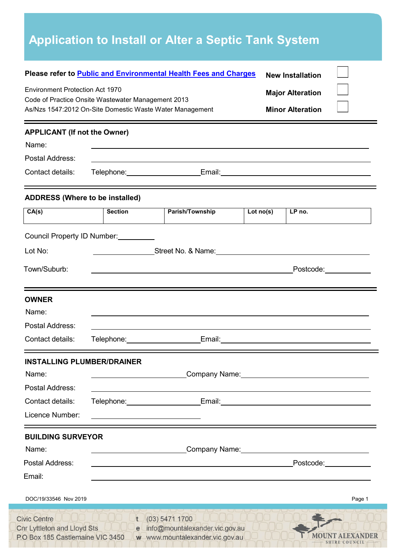| Please refer to Public and Environmental Health Fees and Charges<br><b>Environment Protection Act 1970</b><br>Code of Practice Onsite Wastewater Management 2013<br>As/Nzs 1547:2012 On-Site Domestic Waste Water Management |                                |                                                                                                                                                                                                                                                                                                                                                         | <b>New Installation</b><br><b>Major Alteration</b><br><b>Minor Alteration</b> |                                                                                                                                                                                                                                |  |
|------------------------------------------------------------------------------------------------------------------------------------------------------------------------------------------------------------------------------|--------------------------------|---------------------------------------------------------------------------------------------------------------------------------------------------------------------------------------------------------------------------------------------------------------------------------------------------------------------------------------------------------|-------------------------------------------------------------------------------|--------------------------------------------------------------------------------------------------------------------------------------------------------------------------------------------------------------------------------|--|
| <b>APPLICANT (If not the Owner)</b><br>Name:                                                                                                                                                                                 |                                |                                                                                                                                                                                                                                                                                                                                                         |                                                                               |                                                                                                                                                                                                                                |  |
| Postal Address:                                                                                                                                                                                                              |                                | ,我们也不会有什么。""我们的人,我们也不会有什么?""我们的人,我们也不会有什么?""我们的人,我们也不会有什么?""我们的人,我们也不会有什么?""我们的人                                                                                                                                                                                                                                                                        |                                                                               |                                                                                                                                                                                                                                |  |
| Contact details:                                                                                                                                                                                                             |                                | Telephone: Email: Email: Email: Email: Email: Email: Email: Email: Email: Email: Email: Email: Email: Email: Email: Email: Email: Email: Email: Email: Email: Email: Email: Email: Email: Email: Email: Email: Email: Email: E                                                                                                                          |                                                                               |                                                                                                                                                                                                                                |  |
| <b>ADDRESS (Where to be installed)</b>                                                                                                                                                                                       |                                |                                                                                                                                                                                                                                                                                                                                                         |                                                                               |                                                                                                                                                                                                                                |  |
| CA(s)                                                                                                                                                                                                                        | <b>Section</b>                 | Parish/Township                                                                                                                                                                                                                                                                                                                                         | Lot no(s)                                                                     | LP no.                                                                                                                                                                                                                         |  |
| Lot No:<br>Town/Suburb:                                                                                                                                                                                                      |                                |                                                                                                                                                                                                                                                                                                                                                         |                                                                               | Postcode: New York Discoversion Control Control Control Control Control Control Control Control Control Control Control Control Control Control Control Control Control Control Control Control Control Control Control Contro |  |
| <b>OWNER</b>                                                                                                                                                                                                                 |                                |                                                                                                                                                                                                                                                                                                                                                         |                                                                               |                                                                                                                                                                                                                                |  |
| Name:                                                                                                                                                                                                                        |                                |                                                                                                                                                                                                                                                                                                                                                         |                                                                               |                                                                                                                                                                                                                                |  |
| Postal Address:<br>Contact details:                                                                                                                                                                                          | Telephone: Telephone:          |                                                                                                                                                                                                                                                                                                                                                         |                                                                               | Email: 2008 - 2009 - 2010 - 2010 - 2011 - 2012 - 2014 - 2014 - 2014 - 2014 - 2014 - 2014 - 2014 - 2014 - 2014                                                                                                                  |  |
| <b>INSTALLING PLUMBER/DRAINER</b>                                                                                                                                                                                            |                                | Company Name: Company Name:                                                                                                                                                                                                                                                                                                                             |                                                                               |                                                                                                                                                                                                                                |  |
|                                                                                                                                                                                                                              |                                |                                                                                                                                                                                                                                                                                                                                                         |                                                                               |                                                                                                                                                                                                                                |  |
|                                                                                                                                                                                                                              |                                | Telephone: Email: Email: Email: Email: Email: Email: Email: Email: Email: Email: Email: Email: Email: Email: Email: Email: Email: Email: Email: Email: Email: Email: Email: Email: Email: Email: Email: Email: Email: Email: E<br><u> 1980 - An Dùbhlachd ann an Dùbhlachd ann an Dùbhlachd ann an Dùbhlachd ann an Dùbhlachd ann an Dùbhlachd ann </u> |                                                                               |                                                                                                                                                                                                                                |  |
|                                                                                                                                                                                                                              |                                | Company Name: Manual Account of the Company Name:                                                                                                                                                                                                                                                                                                       |                                                                               |                                                                                                                                                                                                                                |  |
| Name:<br>Postal Address:<br>Contact details:<br>Licence Number:<br><b>BUILDING SURVEYOR</b><br>Name:<br>Postal Address:<br>Email:                                                                                            | <u> Alexandria de la conte</u> |                                                                                                                                                                                                                                                                                                                                                         |                                                                               | Postcode: and the postcode:                                                                                                                                                                                                    |  |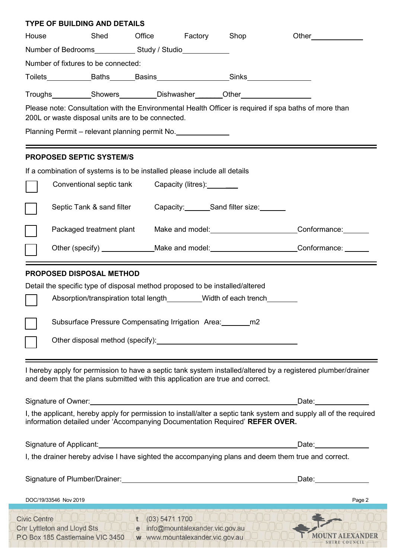|                       | <b>TYPE OF BUILDING AND DETAILS</b>                                                                                                                                                                                                                                                                                                                                    |                 |                                                                     |                             |                                                                                                                                                                                                                                      |
|-----------------------|------------------------------------------------------------------------------------------------------------------------------------------------------------------------------------------------------------------------------------------------------------------------------------------------------------------------------------------------------------------------|-----------------|---------------------------------------------------------------------|-----------------------------|--------------------------------------------------------------------------------------------------------------------------------------------------------------------------------------------------------------------------------------|
| House                 | Shed Office Factory Shop                                                                                                                                                                                                                                                                                                                                               |                 |                                                                     |                             | Other <b>Communist Communist Communist Communist Communist Communist Communist Communist Communist Communist Communist Communist Communist Communist Communist Communist Communist Communist Communist Communist Communist Commu</b> |
|                       |                                                                                                                                                                                                                                                                                                                                                                        |                 |                                                                     |                             |                                                                                                                                                                                                                                      |
|                       | Number of fixtures to be connected:                                                                                                                                                                                                                                                                                                                                    |                 |                                                                     |                             |                                                                                                                                                                                                                                      |
|                       |                                                                                                                                                                                                                                                                                                                                                                        |                 |                                                                     |                             |                                                                                                                                                                                                                                      |
|                       |                                                                                                                                                                                                                                                                                                                                                                        |                 |                                                                     |                             |                                                                                                                                                                                                                                      |
|                       |                                                                                                                                                                                                                                                                                                                                                                        |                 |                                                                     |                             | Please note: Consultation with the Environmental Health Officer is required if spa baths of more than                                                                                                                                |
|                       | 200L or waste disposal units are to be connected.                                                                                                                                                                                                                                                                                                                      |                 |                                                                     |                             |                                                                                                                                                                                                                                      |
|                       | Planning Permit – relevant planning permit No.                                                                                                                                                                                                                                                                                                                         |                 |                                                                     |                             |                                                                                                                                                                                                                                      |
|                       | <b>PROPOSED SEPTIC SYSTEM/S</b>                                                                                                                                                                                                                                                                                                                                        |                 |                                                                     |                             |                                                                                                                                                                                                                                      |
|                       | If a combination of systems is to be installed please include all details                                                                                                                                                                                                                                                                                              |                 |                                                                     |                             |                                                                                                                                                                                                                                      |
|                       | Conventional septic tank Capacity (litres):                                                                                                                                                                                                                                                                                                                            |                 |                                                                     |                             |                                                                                                                                                                                                                                      |
|                       |                                                                                                                                                                                                                                                                                                                                                                        |                 |                                                                     |                             |                                                                                                                                                                                                                                      |
|                       | Septic Tank & sand filter                                                                                                                                                                                                                                                                                                                                              |                 |                                                                     | Capacity: Sand filter size: |                                                                                                                                                                                                                                      |
|                       |                                                                                                                                                                                                                                                                                                                                                                        |                 |                                                                     |                             | Packaged treatment plant Make and model: Conformance: Conformance:                                                                                                                                                                   |
|                       |                                                                                                                                                                                                                                                                                                                                                                        |                 |                                                                     |                             | Other (specify) _______________Make and model: __________________________Conformance: _____________                                                                                                                                  |
|                       |                                                                                                                                                                                                                                                                                                                                                                        |                 |                                                                     |                             |                                                                                                                                                                                                                                      |
|                       | Absorption/transpiration total length ________ Width of each trench<br>Subsurface Pressure Compensating Irrigation Area: https://www.<br>Other disposal method (specify): Notice that the control of the control of the control of the control of the control of the control of the control of the control of the control of the control of the control of the control |                 |                                                                     |                             |                                                                                                                                                                                                                                      |
|                       | and deem that the plans submitted with this application are true and correct.                                                                                                                                                                                                                                                                                          |                 |                                                                     |                             | I hereby apply for permission to have a septic tank system installed/altered by a registered plumber/drainer                                                                                                                         |
|                       |                                                                                                                                                                                                                                                                                                                                                                        |                 |                                                                     |                             | Date: and the state of the state of the state of the state of the state of the state of the state of the state                                                                                                                       |
|                       | information detailed under 'Accompanying Documentation Required' REFER OVER.                                                                                                                                                                                                                                                                                           |                 |                                                                     |                             | I, the applicant, hereby apply for permission to install/alter a septic tank system and supply all of the required                                                                                                                   |
|                       |                                                                                                                                                                                                                                                                                                                                                                        |                 |                                                                     |                             | Date: <b>Date:</b>                                                                                                                                                                                                                   |
|                       |                                                                                                                                                                                                                                                                                                                                                                        |                 |                                                                     |                             | I, the drainer hereby advise I have sighted the accompanying plans and deem them true and correct.                                                                                                                                   |
|                       |                                                                                                                                                                                                                                                                                                                                                                        |                 |                                                                     |                             | Date: and the state of the state of the state of the state of the state of the state of the state of the state of the state of the state of the state of the state of the state of the state of the state of the state of the        |
| DOC/19/33546 Nov 2019 |                                                                                                                                                                                                                                                                                                                                                                        |                 |                                                                     |                             | Page 2                                                                                                                                                                                                                               |
|                       | Civic Centre UUUO UUUO L<br>Cnr Lyttleton and Lloyd Sts UUU<br>P.O Box 185 Castlemaine VIC 3450                                                                                                                                                                                                                                                                        | t(03) 5471 1700 | e info@mountalexander.vic.gov.au<br>w www.mountalexander.vic.gov.au |                             |                                                                                                                                                                                                                                      |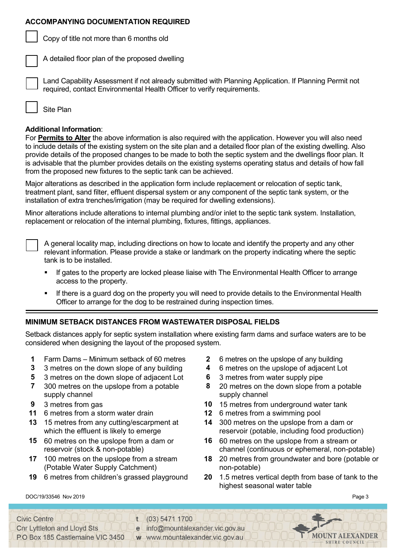## **ACCOMPANYING DOCUMENTATION REQUIRED**

Copy of title not more than 6 months old

A detailed floor plan of the proposed dwelling

Land Capability Assessment if not already submitted with Planning Application. If Planning Permit not required, contact Environmental Health Officer to verify requirements.

Site Plan

## **Additional Information**:

For **Permits to Alter** the above information is also required with the application. However you will also need to include details of the existing system on the site plan and a detailed floor plan of the existing dwelling. Also provide details of the proposed changes to be made to both the septic system and the dwellings floor plan. It is advisable that the plumber provides details on the existing systems operating status and details of how fall from the proposed new fixtures to the septic tank can be achieved.

Major alterations as described in the application form include replacement or relocation of septic tank, treatment plant, sand filter, effluent dispersal system or any component of the septic tank system, or the installation of extra trenches/irrigation (may be required for dwelling extensions).

Minor alterations include alterations to internal plumbing and/or inlet to the septic tank system. Installation, replacement or relocation of the internal plumbing, fixtures, fittings, appliances.

A general locality map, including directions on how to locate and identify the property and any other relevant information. Please provide a stake or landmark on the property indicating where the septic tank is to be installed.

- If gates to the property are locked please liaise with The Environmental Health Officer to arrange access to the property.
- If there is a guard dog on the property you will need to provide details to the Environmental Health Officer to arrange for the dog to be restrained during inspection times.

# **MINIMUM SETBACK DISTANCES FROM WASTEWATER DISPOSAL FIELDS**

Setback distances apply for septic system installation where existing farm dams and surface waters are to be considered when designing the layout of the proposed system.

- **1** Farm Dams Minimum setback of 60 metres **2** 6 metres on the upslope of any building
- **3** 3 metres on the down slope of any building **4** 6 metres on the upslope of adjacent Lot
- **5** 3 metres on the down slope of adjacent Lot **6** 3 metres from water supply pipe
- **7** 300 metres on the upslope from a potable supply channel
- 
- **11** 6 metres from a storm water drain **12** 6 metres from a swimming pool
- **13** 15 metres from any cutting/escarpment at which the effluent is likely to emerge
- **15** 60 metres on the upslope from a dam or reservoir (stock & non-potable)
- **17** 100 metres on the upslope from a stream (Potable Water Supply Catchment)
- 
- 
- 
- 
- **8** 20 metres on the down slope from a potable supply channel
- **9** 3 metres from gas **10** 15 metres from underground water tank
	-
	- **14** 300 metres on the upslope from a dam or reservoir (potable, including food production)
	- **16** 60 metres on the upslope from a stream or channel (continuous or ephemeral, non-potable)
	- **18** 20 metres from groundwater and bore (potable or non-potable)
- **19** 6 metres from children's grassed playground **20** 1.5 metres vertical depth from base of tank to the highest seasonal water table

DOC/19/33546 Nov 2019 Page 3

| Civic Centre                       | $(03)$ 5471 1700                 |                 |
|------------------------------------|----------------------------------|-----------------|
|                                    |                                  |                 |
| <b>Cnr Lyttleton and Lloyd Sts</b> | e info@mountalexander.vic.gov.au |                 |
| P.O Box 185 Castlemaine VIC 3450   | w www.mountalexander.vic.gov.au  | MOUNT ALEXANDER |
|                                    |                                  | SHIRE COUNCIL   |